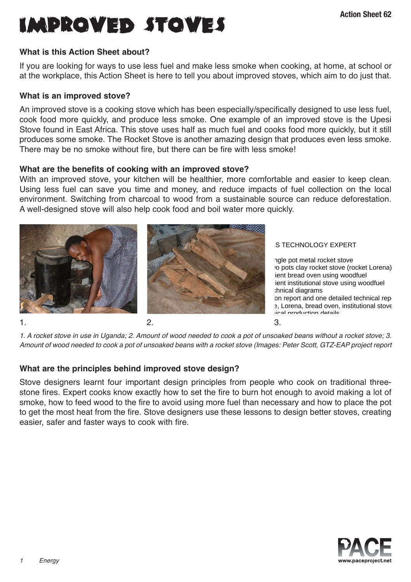# **IMPROVED STOVES**

# **What is this Action Sheet about?**

If you are looking for ways to use less fuel and make less smoke when cooking, at home, at school or at the workplace, this Action Sheet is here to tell you about improved stoves, which aim to do just that.

# **What is an improved stove?**

An improved stove is a cooking stove which has been especially/specifically designed to use less fuel, cook food more quickly, and produce less smoke. One example of an improved stove is the Upesi Stove found in East Africa. This stove uses half as much fuel and cooks food more quickly, but it still produces some smoke. The Rocket Stove is another amazing design that produces even less smoke. There may be no smoke without fire, but there can be fire with less smoke!

## **What are the benefits of cooking with an improved stove?**

With an improved stove, your kitchen will be healthier, more comfortable and easier to keep clean. Using less fuel can save you time and money, and reduce impacts of fuel collection on the local environment. Switching from charcoal to wood from a sustainable source can reduce deforestation. A well-designed stove will also help cook food and boil water more quickly.



**S TECHNOLOGY EXPERT** 

ngle pot metal rocket stove wo pots clay rocket stove (rocket Lorena) ient bread oven using woodfuel ient institutional stove using woodfuel chnical diagrams on report and one detailed technical rep e, Lorena, bread oven, institutional stove nical production details

 $1.$  2.  $2.$  3.

1. A rocket stove in use in Uganda; 2. Amount of wood needed to cook a pot of unsoaked beans without a rocket stove; 3. Amount of wood needed to cook a pot of unsoaked beans with a rocket stove (Images: Peter Scott, GTZ-EAP project report

# **What are the principles behind improved stove design?**

Stove designers learnt four important design principles from people who cook on traditional threestone fires. Expert cooks know exactly how to set the fire to burn hot enough to avoid making a lot of smoke, how to feed wood to the fire to avoid using more fuel than necessary and how to place the pot to get the most heat from the fire. Stove designers use these lessons to design better stoves, creating easier, safer and faster ways to cook with fire.

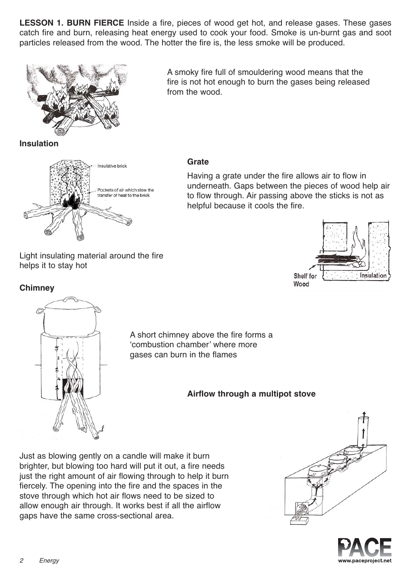**LESSON 1. BURN FIERCE** Inside a fire, pieces of wood get hot, and release gases. These gases catch fire and burn, releasing heat energy used to cook your food. Smoke is un-burnt gas and soot particles released from the wood. The hotter the fire is, the less smoke will be produced.



**Insulation**



A smoky fire full of smouldering wood means that the fire is not hot enough to burn the gases being released from the wood.

#### **Grate**

Having a grate under the fire allows air to flow in underneath. Gaps between the pieces of wood help air to flow through. Air passing above the sticks is not as helpful because it cools the fire.

Light insulating material around the fire helps it to stay hot







A short chimney above the fire forms a 'combustion chamber' where more gases can burn in the flames

## **Airflow through a multipot stove**

Just as blowing gently on a candle will make it burn brighter, but blowing too hard will put it out, a fire needs just the right amount of air flowing through to help it burn fiercely. The opening into the fire and the spaces in the stove through which hot air flows need to be sized to allow enough air through. It works best if all the airflow gaps have the same cross-sectional area.



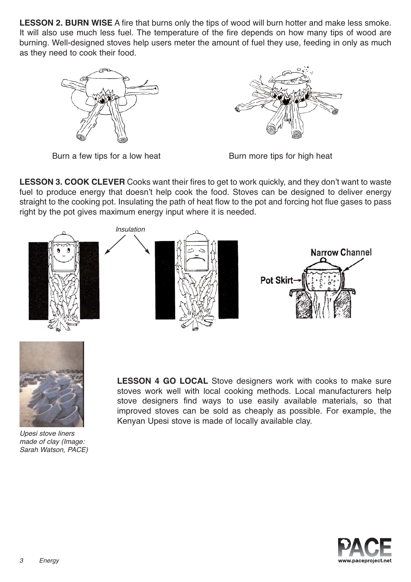**LESSON 2. BURN WISE** A fire that burns only the tips of wood will burn hotter and make less smoke. It will also use much less fuel. The temperature of the fire depends on how many tips of wood are burning. Well-designed stoves help users meter the amount of fuel they use, feeding in only as much as they need to cook their food.







**LESSON 3. COOK CLEVER** Cooks want their fires to get to work quickly, and they don't want to waste fuel to produce energy that doesn't help cook the food. Stoves can be designed to deliver energy straight to the cooking pot. Insulating the path of heat flow to the pot and forcing hot flue gases to pass right by the pot gives maximum energy input where it is needed.





Upesi stove liners made of clay (Image: Sarah Watson, PACE)

**LESSON 4 GO LOCAL** Stove designers work with cooks to make sure stoves work well with local cooking methods. Local manufacturers help stove designers find ways to use easily available materials, so that improved stoves can be sold as cheaply as possible. For example, the Kenyan Upesi stove is made of locally available clay.

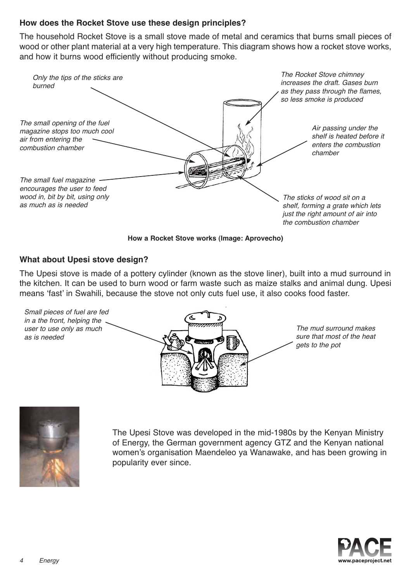## **How does the Rocket Stove use these design principles?**

The household Rocket Stove is a small stove made of metal and ceramics that burns small pieces of wood or other plant material at a very high temperature. This diagram shows how a rocket stove works, and how it burns wood efficiently without producing smoke.



**How a Rocket Stove works (Image: Aprovecho)**

## **What about Upesi stove design?**

The Upesi stove is made of a pottery cylinder (known as the stove liner), built into a mud surround in the kitchen. It can be used to burn wood or farm waste such as maize stalks and animal dung. Upesi means 'fast' in Swahili, because the stove not only cuts fuel use, it also cooks food faster.





The Upesi Stove was developed in the mid-1980s by the Kenyan Ministry of Energy, the German government agency GTZ and the Kenyan national women's organisation Maendeleo ya Wanawake, and has been growing in popularity ever since.